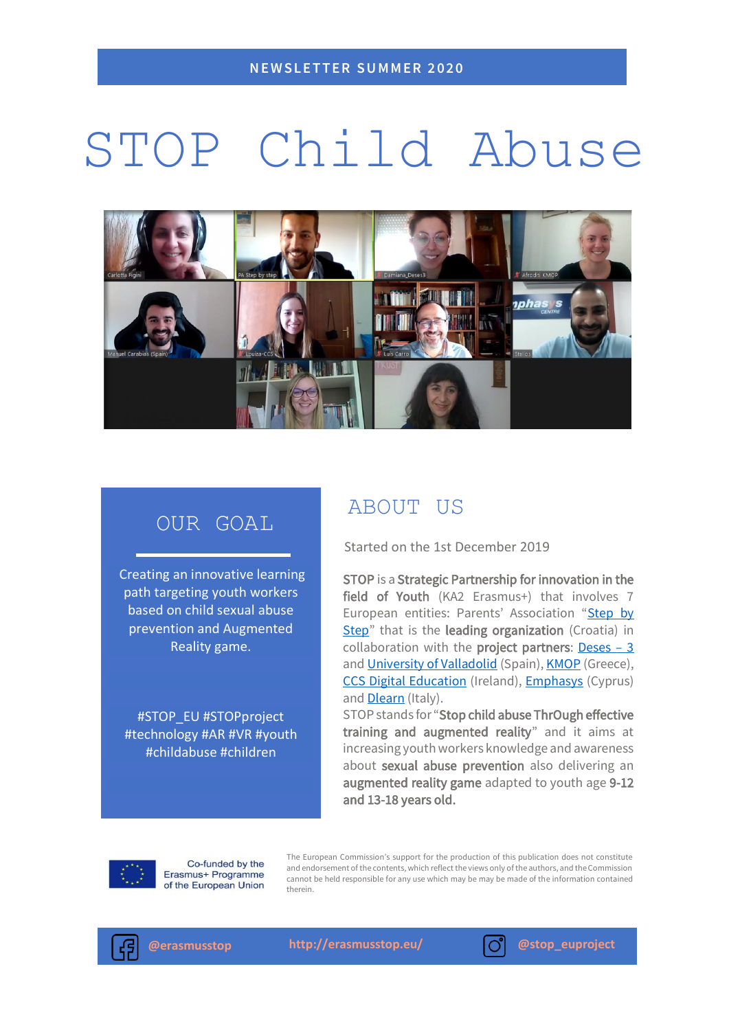# STOP Child Abuse



## OUR GOAL

Creating an innovative learning path targeting youth workers based on child sexual abuse prevention and Augmented Reality game.

#STOP\_EU #STOPproject #technology #AR #VR #youth #childabuse #children

## ABOUT US

Started on the 1st December 2019

STOP is a Strategic Partnership for innovation in the field of Youth (KA2 Erasmus+) that involves 7 European entities: Parents' Association "Step by [Step](http://www.udrugaroditeljakpk.hr/?fbclid=IwAR21ViKfmQkLlf2NUb_WYGykcSsjMV9dfOzHl2aTnB2wnlwNWyI5KnhbOyo)" that is the leading organization (Croatia) in collaboration with the **project partners:** [Deses](https://www.asociaciondeses3.com/)  $-3$ and [University of Valladolid](https://universityofvalladolid.uva.es/) (Spain)[, KMOP](https://www.kmop.gr/) (Greece), [CCS Digital Education](http://www.ccseducation.com/) (Ireland), [Emphasys](https://emphasyscentre.com/) (Cyprus) and **Dlearn** (Italy).

STOP stands for "Stop child abuse ThrOugh effective training and augmented reality" and it aims at increasing youth workers knowledge and awareness about sexual abuse prevention also delivering an augmented reality game adapted to youth age 9-12 and 13-18 years old.



Co-funded by the Erasmus+ Programme of the European Union

The European Commission's support for the production of this publication does not constitute and endorsement of the contents, which reflect the views only of the authors, and the Commission cannot be held responsible for any use which may be may be made of the information contained therein.



**@erasmusstop <http://erasmusstop.eu/> @stop\_euproject**